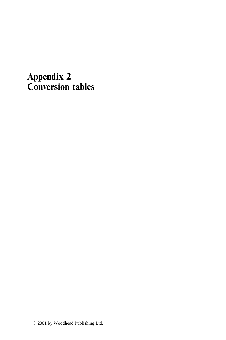## **Appendix 2 Conversion tables**